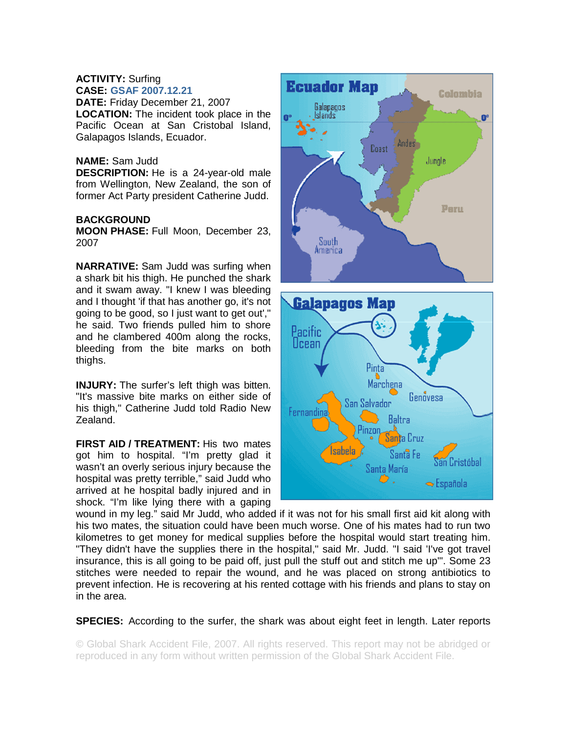## **ACTIVITY:** Surfing **CASE: GSAF 2007.12.21**

**DATE:** Friday December 21, 2007 **LOCATION:** The incident took place in the Pacific Ocean at San Cristobal Island, Galapagos Islands, Ecuador.

## **NAME:** Sam Judd

**DESCRIPTION:** He is a 24-year-old male from Wellington, New Zealand, the son of former Act Party president Catherine Judd.

## **BACKGROUND**

**MOON PHASE:** Full Moon, December 23, 2007

**NARRATIVE:** Sam Judd was surfing when a shark bit his thigh. He punched the shark and it swam away. "I knew I was bleeding and I thought 'if that has another go, it's not going to be good, so I just want to get out'," he said. Two friends pulled him to shore and he clambered 400m along the rocks, bleeding from the bite marks on both thighs.

**INJURY:** The surfer's left thigh was bitten. "It's massive bite marks on either side of his thigh," Catherine Judd told Radio New Zealand.

**FIRST AID / TREATMENT:** His two mates got him to hospital. "I'm pretty glad it wasn't an overly serious injury because the hospital was pretty terrible," said Judd who arrived at he hospital badly injured and in shock. "I'm like lying there with a gaping



Santa María ♡.

**Cristóbal** 

 $\blacktriangleright$  Española

wound in my leg." said Mr Judd, who added if it was not for his small first aid kit along with his two mates, the situation could have been much worse. One of his mates had to run two kilometres to get money for medical supplies before the hospital would start treating him. "They didn't have the supplies there in the hospital," said Mr. Judd. "I said 'I've got travel insurance, this is all going to be paid off, just pull the stuff out and stitch me up'". Some 23 stitches were needed to repair the wound, and he was placed on strong antibiotics to prevent infection. He is recovering at his rented cottage with his friends and plans to stay on in the area.

**SPECIES:** According to the surfer, the shark was about eight feet in length. Later reports

© Global Shark Accident File, 2007. All rights reserved. This report may not be abridged or reproduced in any form without written permission of the Global Shark Accident File.